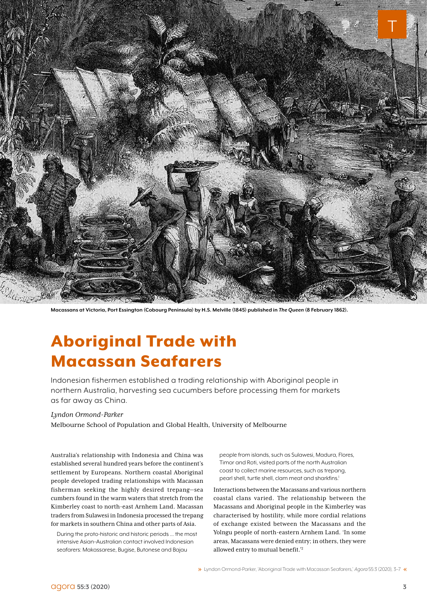

**Macassans at Victoria, Port Essington (Cobourg Peninsula) by H.S. Melville (1845) published in** *The Queen* **(8 February 1862).**

## Aboriginal Trade with Macassan Seafarers

Indonesian fishermen established a trading relationship with Aboriginal people in northern Australia, harvesting sea cucumbers before processing them for markets as far away as China.

#### *Lyndon Ormond-Parker*

Melbourne School of Population and Global Health, University of Melbourne

Australia's relationship with Indonesia and China was established several hundred years before the continent's settlement by Europeans. Northern coastal Aboriginal people developed trading relationships with Macassan fisherman seeking the highly desired trepang—sea cumbers found in the warm waters that stretch from the Kimberley coast to north-east Arnhem Land. Macassan traders from Sulawesi in Indonesia processed the trepang for markets in southern China and other parts of Asia.

During the proto-historic and historic periods ... the most intensive Asian–Australian contact involved Indonesian seafarers: Makassarese, Bugise, Butonese and Bajau

people from islands, such as Sulawesi, Madura, Flores, Timor and Roti, visited parts of the north Australian coast to collect marine resources, such as trepang, pearl shell, turtle shell, clam meat and sharkfins.<sup>1</sup> I

Interactions between the Macassans and various northern coastal clans varied. The relationship between the Macassans and Aboriginal people in the Kimberley was characterised by hostility, while more cordial relations of exchange existed between the Macassans and the Yolngu people of north-eastern Arnhem Land. 'In some areas, Macassans were denied entry; in others, they were allowed entry to mutual benefit.'2

Lyndon Ormond-Parker, 'Aboriginal Trade with Macassan Seafarers,' *Agora* 55:3 (2020), 3–7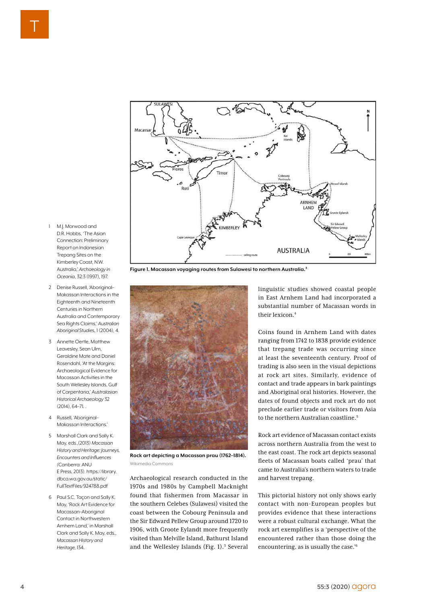

**Figure 1. Macassan voyaging routes from Sulawesi to northern Australia.3**

- 1 M.J. Morwood and D.R. Hobbs, 'The Asian Connection: Preliminary Report on Indonesian Trepang Sites on the Kimberley Coast, N.W. Australia,' *Archaeology in Oceania*, 32:3 (1997), 197.
- 2 Denise Russell, 'Aboriginal– Makassan Interactions in the Eighteenth and Nineteenth Centuries in Northern Australia and Contemporary Sea Rights Claims,' *Australian Aboriginal Studie*s, 1 (2004), 4.
- 3 Annette Oertle, Matthew Leavesley, Sean Ulm, Geraldine Mate and Daniel Rosendahl, 'At the Margins: Archaeological Evidence for Macassan Activities in the South Wellesley Islands, Gulf of Carpentaria,' *Australasian Historical Archaeology* 32 (2014), 64–71. .
- 4 Russell, 'Aboriginal– Makassan Interactions.'
- 5 Marshall Clark and Sally K. May, eds.,(2013) *Macassan History and Heritage: Journeys, Encounters and Influences (*Canberra: ANU E Press, 2013). https://library. dbca.wa.gov.au/static/ FullTextFiles/924788.pdf
- 6 Paul S.C. Taçon and Sally K. May, 'Rock Art Evidence for Macassan–Aboriginal Contact in Northwestern Arnhem Land,' in Marshall Clark and Sally K. May, eds., *Macassan History and Heritage,* 134.



**Rock art depicting a Macassan prau (1762–1814).**  Wikimedia Commons

Archaeological research conducted in the 1970s and 1980s by Campbell Macknight found that fishermen from Macassar in the southern Celebes (Sulawesi) visited the coast between the Cobourg Peninsula and the Sir Edward Pellew Group around 1720 to 1906, with Groote Eylandt more frequently visited than Melville Island, Bathurst Island and the Wellesley Islands (Fig. 1).<sup>3</sup> Several linguistic studies showed coastal people in East Arnhem Land had incorporated a substantial number of Macassan words in their levicon.<sup>4</sup>

Coins found in Arnhem Land with dates ranging from 1742 to 1838 provide evidence that trepang trade was occurring since at least the seventeenth century. Proof of trading is also seen in the visual depictions at rock art sites. Similarly, evidence of contact and trade appears in bark paintings and Aboriginal oral histories. However, the dates of found objects and rock art do not preclude earlier trade or visitors from Asia to the northern Australian coastline.<sup>5</sup>

Rock art evidence of Macassan contact exists across northern Australia from the west to the east coast. The rock art depicts seasonal fleets of Macassan boats called 'prau' that came to Australia's northern waters to trade and harvest trepang.

This pictorial history not only shows early contact with non-European peoples but provides evidence that these interactions were a robust cultural exchange. What the rock art exemplifies is a 'perspective of the encountered rather than those doing the encountering, as is usually the case.'6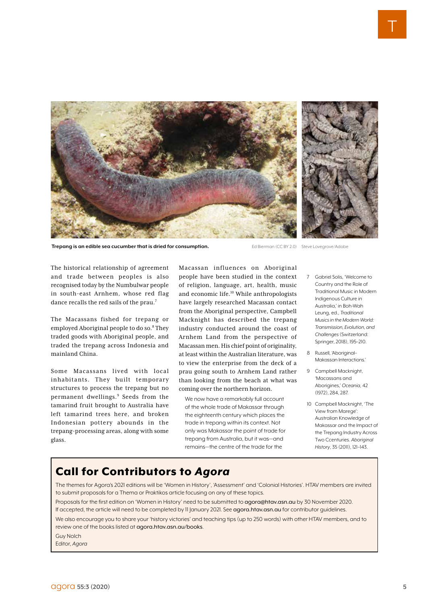

**Trepang is an edible sea cucumber that is dried for consumption. Ed Bierman (CC BY 2.0)** Steve Lovegrove/Adobe

The historical relationship of agreement and trade between peoples is also recognised today by the Numbulwar people in south-east Arnhem, whose red flag dance recalls the red sails of the prau.<sup>7</sup>

The Macassans fished for trepang or employed Aboriginal people to do so.<sup>8</sup> They traded goods with Aboriginal people, and traded the trepang across Indonesia and mainland China.

Some Macassans lived with local inhabitants. They built temporary structures to process the trepang but no permanent dwellings.<sup>9</sup> Seeds from the tamarind fruit brought to Australia have left tamarind trees here, and broken Indonesian pottery abounds in the trepang-processing areas, along with some glass.

Macassan influences on Aboriginal people have been studied in the context of religion, language, art, health, music and economic life.10 While anthropologists have largely researched Macassan contact from the Aboriginal perspective, Campbell Macknight has described the trepang industry conducted around the coast of Arnhem Land from the perspective of Macassan men. His chief point of originality, at least within the Australian literature, was to view the enterprise from the deck of a prau going south to Arnhem Land rather than looking from the beach at what was coming over the northern horizon.

We now have a remarkably full account of the whole trade of Makassar through the eighteenth century which places the trade in trepang within its context. Not only was Makassar the point of trade for trepang from Australia, but it was—and remains—the centre of the trade for the

- 7 Gabriel Solis, 'Welcome to Country and the Role of Traditional Music in Modern Indigenous Culture in Australia,' in Boh-Wah Leung, ed., *Traditional Musics in the Modern World: Transmission, Evolution, and Challenges* (Switzerland: Springer, 2018), 195–210.
- 8 Russell, 'Aboriginal– Makassan Interactions.'
- 9 Campbell Macknight, 'Macassans and Aborigines,' *Oceania,* 42 (1972), 284, 287.
- 10 Campbell Macknight, 'The View from Marege': Australian Knowledge of Makassar and the Impact of the Trepang Industry Across Two Ccenturies. *Aboriginal History*, 35 (2011), 121–143.

### Call for Contributors to *Agora*

The themes for Agora's 2021 editions will be 'Women in History', 'Assessment' and 'Colonial Histories'. HTAV members are invited to submit proposals for a Thema or Praktikos article focusing on any of these topics.

Proposals for the first edition on 'Women in History' need to be submitted to agora@htav.asn.au by 30 November 2020. If accepted, the article will need to be completed by 11 January 2021. See agora.htav.asn.au for contributor guidelines.

We also encourage you to share your 'history victories' and teaching tips (up to 250 words) with other HTAV members, and to review one of the books listed at agora.htav.asn.au/books.

Guy Nolch

Editor, *Agora*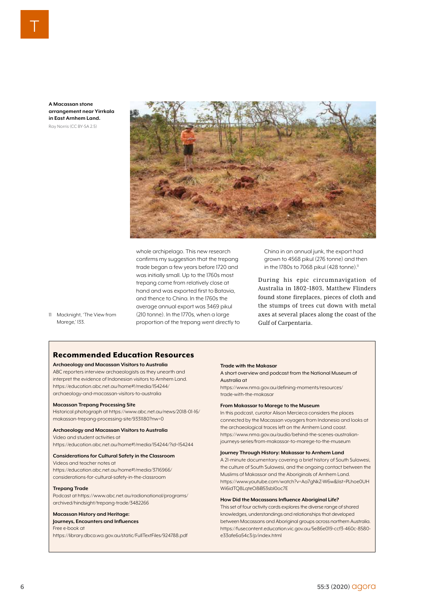**A Macassan stone arrangement near Yirrkala in East Arnhem Land.** Ray Norris (CC BY-SA 2.5)



whole archipelago. This new research confirms my suggestion that the trepang trade began a few years before 1720 and was initially small. Up to the 1760s most trepang came from relatively close at hand and was exported first to Batavia, and thence to China. In the 1760s the average annual export was 3469 pikul (210 tonne). In the 1770s, when a large proportion of the trepang went directly to China in an annual junk, the export had grown to 4568 pikul (276 tonne) and then in the 1780s to 7068 pikul (428 tonne).<sup>11</sup>

During his epic circumnavigation of Australia in 1802–1803, Matthew Flinders found stone fireplaces, pieces of cloth and the stumps of trees cut down with metal axes at several places along the coast of the Gulf of Carpentaria.

11 Macknight, 'The View from Marege,' 133.

#### Recommended Education Resources

#### **Archaeology and Macassan Visitors to Australia**

ABC reporters interview archaeologists as they unearth and interpret the evidence of Indonesian visitors to Arnhem Land. https://education.abc.net.au/home#!/media/154244/ archaeology-and-macassan-visitors-to-australia

#### **Macassan Trepang Processing Site**

Historical photograph at https://www.abc.net.au/news/2018-01-16/ makassan-trepang-processing-site/9331180?nw=0

#### **Archaeology and Macassan Visitors to Australia**

Video and student activities at https://education.abc.net.au/home#!/media/154244/?id=154244

#### **Considerations for Cultural Safety in the Classroom**

Videos and teacher notes at https://education.abc.net.au/home#!/media/3716966/ considerations-for-cultural-safety-in-the-classroom

#### **Trepang Trade**

Podcast at https://www.abc.net.au/radionational/programs/ archived/hindsight/trepang-trade/3482266

#### **Macassan History and Heritage:**

**Journeys, Encounters and Influences**  Free e-book at

https://library.dbca.wa.gov.au/static/FullTextFiles/924788.pdf

#### **Trade with the Makasar**

A short overview and podcast from the National Museum of Australia at

https://www.nma.gov.au/defining-moments/resources/ trade-with-the-makasar

#### **From Makassar to Marege to the Museum**

In this podcast, curator Alison Mercieca considers the places connected by the Macassan voyagers from Indonesia and looks at the archaeological traces left on the Arnhem Land coast. https://www.nma.gov.au/audio/behind-the-scenes-australianjourneys-series/from-makassar-to-marege-to-the-museum

#### **Journey Through History: Makassar to Arnhem Land**

A 21-minute documentary covering a brief history of South Sulawesi, the culture of South Sulawesi, and the ongoing contact between the Muslims of Makassar and the Aboriginals of Arnhem Land. https://www.youtube.com/watch?v=Aa7gNkZ-W6w&list=PLhoe0UH Wi6idTQ8LqteO8iB53sbl0oc7E

#### **How Did the Macassans Influence Aboriginal Life?**

This set of four activity cards explores the diverse range of shared knowledges, understandings and relationships that developed between Macassans and Aboriginal groups across northern Australia. https://fusecontent.education.vic.gov.au/5e86e019-ccf3-460c-8580 e33afe6a54c3/p/index.html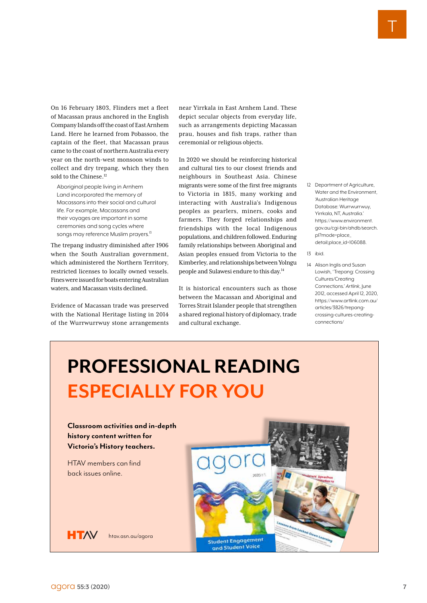On 16 February 1803, Flinders met a fleet of Macassan praus anchored in the English Company Islands off the coast of East Arnhem Land. Here he learned from Pobassoo, the captain of the fleet, that Macassan praus came to the coast of northern Australia every year on the north-west monsoon winds to collect and dry trepang, which they then sold to the Chinese.<sup>12</sup>

Aboriginal people living in Arnhem Land incorporated the memory of Macassans into their social and cultural life. For example, Macassans and their voyages are important in some ceremonies and song cycles where songs may reference Muslim prayers.<sup>13</sup>

The trepang industry diminished after 1906 when the South Australian government, which administered the Northern Territory, restricted licenses to locally owned vessels. Fines were issued for boats entering Australian waters, and Macassan visits declined.

Evidence of Macassan trade was preserved with the National Heritage listing in 2014 of the Wurrwurrwuy stone arrangements

near Yirrkala in East Arnhem Land. These depict secular objects from everyday life, such as arrangements depicting Macassan prau, houses and fish traps, rather than ceremonial or religious objects.

In 2020 we should be reinforcing historical and cultural ties to our closest friends and neighbours in Southeast Asia. Chinese migrants were some of the first free migrants to Victoria in 1815, many working and interacting with Australia's Indigenous peoples as pearlers, miners, cooks and farmers. They forged relationships and friendships with the local Indigenous populations, and children followed. Enduring family relationships between Aboriginal and Asian peoples ensued from Victoria to the Kimberley, and relationships between Yolngu people and Sulawesi endure to this day.14

It is historical encounters such as those between the Macassan and Aboriginal and Torres Strait Islander people that strengthen a shared regional history of diplomacy, trade and cultural exchange.

- 12 Department of Agriculture, Water and the Environment, 'Australian Heritage Database: Wurrwurrwuy, Yirrkala, NT, Australia.' https://www.environment. gov.au/cgi-bin/ahdb/search. pl?mode=place\_ detail;place\_id=106088.
- 13 ibid.
- 14 Alison Inglis and Susan Lowish, 'Trepang: Crossing Cultures/Creating Connections.' *Artlink*, June 2012, accessed April 12, 2020, https://www.artlink.com.au/ articles/3826/trepangcrossing-cultures-creatingconnections/

# **PROFESSIONAL READING ESPECIALLY FOR YOU**

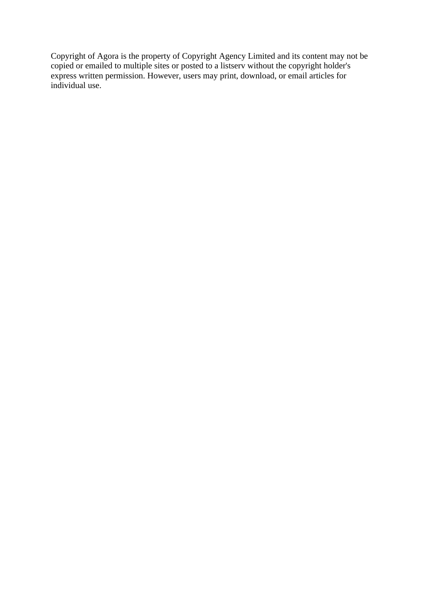Copyright of Agora is the property of Copyright Agency Limited and its content may not be copied or emailed to multiple sites or posted to <sup>a</sup> listserv without the copyright holder's express written permission. However, users may print, download, or email articles for individual use.